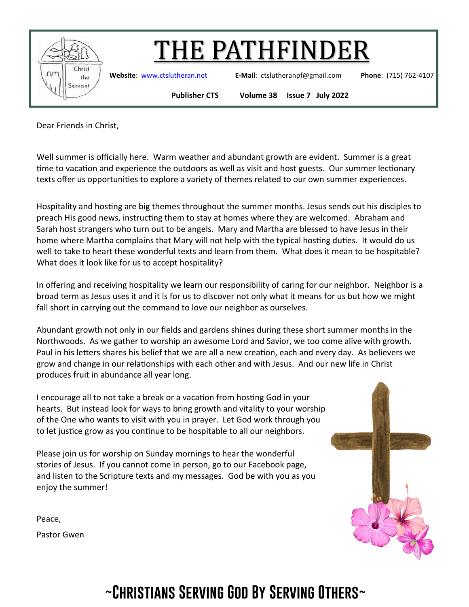

**Website**: [www.ctslutheran.net](http://www.ctslutheran.net/) **E-Mail**: ctslutheranpf@gmail.com **Phone**: (715) 762-4107

**Publisher CTS Volume 38 Issue 7 July 2022**

Dear Friends in Christ,

Well summer is officially here. Warm weather and abundant growth are evident. Summer is a great time to vacation and experience the outdoors as well as visit and host guests. Our summer lectionary texts offer us opportunities to explore a variety of themes related to our own summer experiences.

Hospitality and hosting are big themes throughout the summer months. Jesus sends out his disciples to preach His good news, instructing them to stay at homes where they are welcomed. Abraham and Sarah host strangers who turn out to be angels. Mary and Martha are blessed to have Jesus in their home where Martha complains that Mary will not help with the typical hosting duties. It would do us well to take to heart these wonderful texts and learn from them. What does it mean to be hospitable? What does it look like for us to accept hospitality?

In offering and receiving hospitality we learn our responsibility of caring for our neighbor. Neighbor is a broad term as Jesus uses it and it is for us to discover not only what it means for us but how we might fall short in carrying out the command to love our neighbor as ourselves.

Abundant growth not only in our fields and gardens shines during these short summer months in the Northwoods. As we gather to worship an awesome Lord and Savior, we too come alive with growth. Paul in his letters shares his belief that we are all a new creation, each and every day. As believers we grow and change in our relationships with each other and with Jesus. And our new life in Christ produces fruit in abundance all year long.

I encourage all to not take a break or a vacation from hosting God in your hearts. But instead look for ways to bring growth and vitality to your worship of the One who wants to visit with you in prayer. Let God work through you to let justice grow as you continue to be hospitable to all our neighbors.

Please join us for worship on Sunday mornings to hear the wonderful stories of Jesus. If you cannot come in person, go to our Facebook page, and listen to the Scripture texts and my messages. God be with you as you enjoy the summer!

Peace,

Pastor Gwen

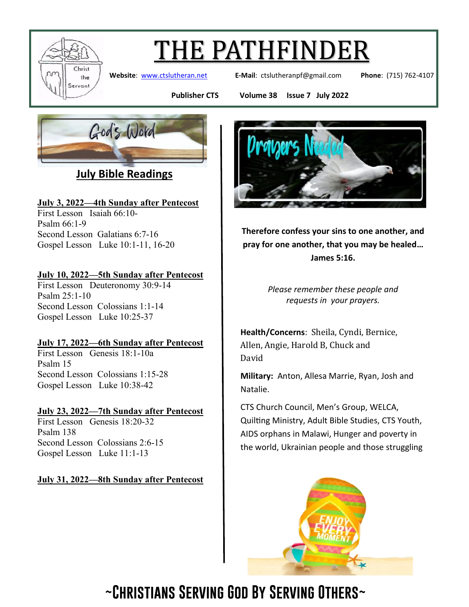

**Website**: [www.ctslutheran.net](http://www.ctslutheran.net/) **E-Mail**: ctslutheranpf@gmail.com **Phone**: (715) 762-4107

**Publisher CTS Volume 38 Issue 7 July 2022**



**July Bible Readings**

#### July 3, 2022—4th Sunday after Pentecost

First Lesson Isaiah 66:10- Psalm 66:1-9 Second Lesson Galatians 6:7-16 Gospel Lesson Luke 10:1-11, 16-20

#### July 10, 2022—5th Sunday after Pentecost

First Lesson Deuteronomy 30:9-14 Psalm 25:1-10 Second Lesson Colossians 1:1-14 Gospel Lesson Luke 10:25-37

#### July 17, 2022—6th Sunday after Pentecost

First Lesson Genesis 18:1-10a Psalm 15 Second Lesson Colossians 1:15-28 Gospel Lesson Luke 10:38-42

#### July 23, 2022—7th Sunday after Pentecost

First Lesson Genesis 18:20-32 Psalm 138 Second Lesson Colossians 2:6-15 Gospel Lesson Luke 11:1-13

#### July 31, 2022—8th Sunday after Pentecost



**Therefore confess your sins to one another, and pray for one another, that you may be healed… James 5:16.**

> *Please remember these people and requests in your prayers.*

**Health/Concerns**: Sheila, Cyndi, Bernice, Allen, Angie, Harold B, Chuck and David

**Military:** Anton, Allesa Marrie, Ryan, Josh and Natalie.

CTS Church Council, Men's Group, WELCA, Quilting Ministry, Adult Bible Studies, CTS Youth, AIDS orphans in Malawi, Hunger and poverty in the world, Ukrainian people and those struggling

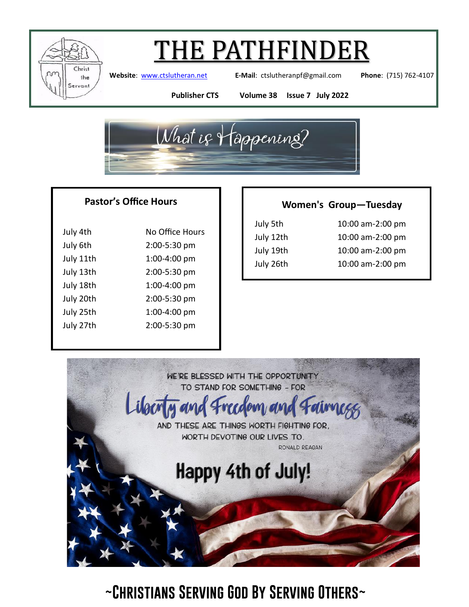

**Website**: [www.ctslutheran.net](http://www.ctslutheran.net/) **E-Mail**: ctslutheranpf@gmail.com **Phone**: (715) 762-4107

**Publisher CTS Volume 38 Issue 7 July 2022**



#### **Pastor's Office Hours**

| July 4th  | No Office Hours |  |
|-----------|-----------------|--|
| July 6th  | 2:00-5:30 pm    |  |
| July 11th | 1:00-4:00 pm    |  |
| July 13th | 2:00-5:30 pm    |  |
| July 18th | 1:00-4:00 pm    |  |
| July 20th | 2:00-5:30 pm    |  |
| July 25th | 1:00-4:00 pm    |  |
| July 27th | 2:00-5:30 pm    |  |
|           |                 |  |

#### **Women's Group—Tuesday**

| July 5th  | 10:00 am-2:00 pm |
|-----------|------------------|
| July 12th | 10:00 am-2:00 pm |
| July 19th | 10:00 am-2:00 pm |
| July 26th | 10:00 am-2:00 pm |
|           |                  |

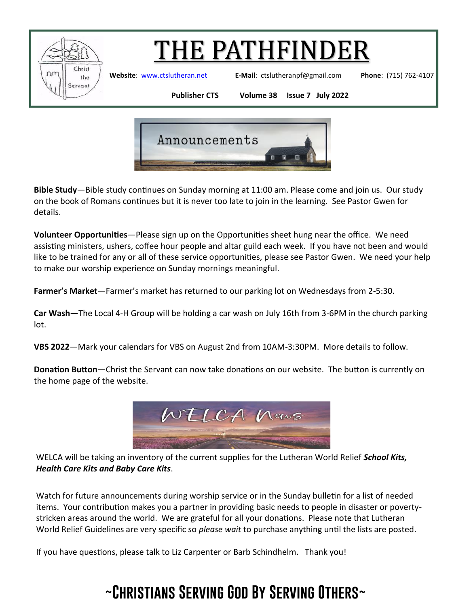

**Website**: [www.ctslutheran.net](http://www.ctslutheran.net/) **E-Mail**: ctslutheranpf@gmail.com **Phone**: (715) 762-4107

**Publisher CTS Volume 38 Issue 7 July 2022**



**Bible Study**—Bible study continues on Sunday morning at 11:00 am. Please come and join us. Our study on the book of Romans continues but it is never too late to join in the learning. See Pastor Gwen for details.

**Volunteer Opportunities**—Please sign up on the Opportunities sheet hung near the office. We need assisting ministers, ushers, coffee hour people and altar guild each week. If you have not been and would like to be trained for any or all of these service opportunities, please see Pastor Gwen. We need your help to make our worship experience on Sunday mornings meaningful.

**Farmer's Market**—Farmer's market has returned to our parking lot on Wednesdays from 2-5:30.

**Car Wash—**The Local 4-H Group will be holding a car wash on July 16th from 3-6PM in the church parking lot.

**VBS 2022**—Mark your calendars for VBS on August 2nd from 10AM-3:30PM. More details to follow.

**Donation Button**—Christ the Servant can now take donations on our website. The button is currently on the home page of the website.



WELCA will be taking an inventory of the current supplies for the Lutheran World Relief *School Kits, Health Care Kits and Baby Care Kits*.

Watch for future announcements during worship service or in the Sunday bulletin for a list of needed items. Your contribution makes you a partner in providing basic needs to people in disaster or povertystricken areas around the world. We are grateful for all your donations. Please note that Lutheran World Relief Guidelines are very specific so *please wait* to purchase anything until the lists are posted.

If you have questions, please talk to Liz Carpenter or Barb Schindhelm. Thank you!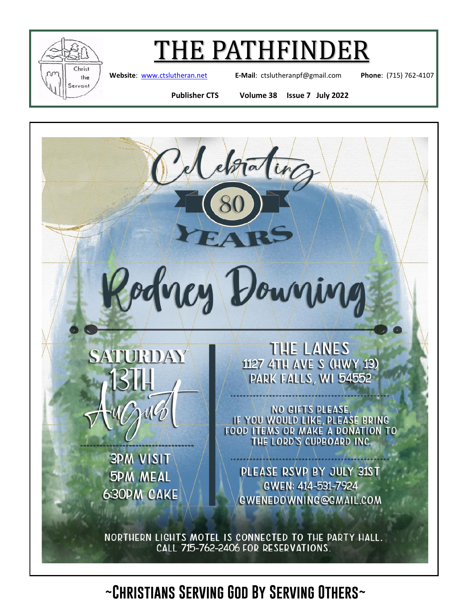

**Website**: [www.ctslutheran.net](http://www.ctslutheran.net/) **E-Mail**: ctslutheranpf@gmail.com **Phone**: (715) 762-4107

**Publisher CTS Volume 38 Issue 7 July 2022**